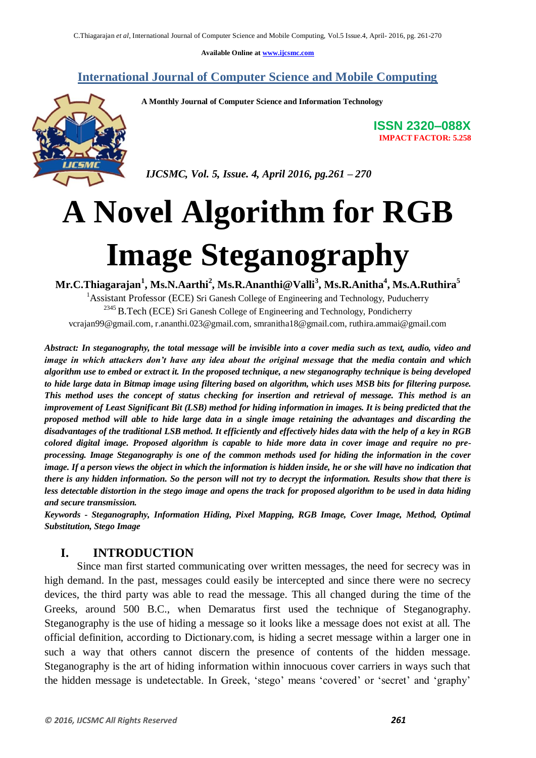**Available Online at www.ijcsmc.com**

**International Journal of Computer Science and Mobile Computing**



 **A Monthly Journal of Computer Science and Information Technology**

 *IJCSMC, Vol. 5, Issue. 4, April 2016, pg.261 – 270*

# **A Novel Algorithm for RGB Image Steganography**

**Mr.C.Thiagarajan<sup>1</sup> , Ms.N.Aarthi<sup>2</sup> , Ms.R.Ananthi@Valli<sup>3</sup> , Ms.R.Anitha<sup>4</sup> , Ms.A.Ruthira<sup>5</sup>** <sup>1</sup>Assistant Professor (ECE) Sri Ganesh College of Engineering and Technology, Puducherry <sup>2345</sup> B.Tech (ECE) Sri Ganesh College of Engineering and Technology, Pondicherry vcrajan99@gmail.com, r.ananthi.023@gmail.com, smranitha18@gmail.com, ruthira.ammai@gmail.com

*Abstract: In steganography, the total message will be invisible into a cover media such as text, audio, video and image in which attackers don't have any idea about the original message that the media contain and which algorithm use to embed or extract it. In the proposed technique, a new steganography technique is being developed to hide large data in Bitmap image using filtering based on algorithm, which uses MSB bits for filtering purpose. This method uses the concept of status checking for insertion and retrieval of message. This method is an improvement of Least Significant Bit (LSB) method for hiding information in images. It is being predicted that the proposed method will able to hide large data in a single image retaining the advantages and discarding the disadvantages of the traditional LSB method. It efficiently and effectively hides data with the help of a key in RGB colored digital image. Proposed algorithm is capable to hide more data in cover image and require no preprocessing. Image Steganography is one of the common methods used for hiding the information in the cover image. If a person views the object in which the information is hidden inside, he or she will have no indication that there is any hidden information. So the person will not try to decrypt the information. Results show that there is less detectable distortion in the stego image and opens the track for proposed algorithm to be used in data hiding and secure transmission.*

*Keywords - Steganography, Information Hiding, Pixel Mapping, RGB Image, Cover Image, Method, Optimal Substitution, Stego Image*

# **I. INTRODUCTION**

Since man first started communicating over written messages, the need for secrecy was in high demand. In the past, messages could easily be intercepted and since there were no secrecy devices, the third party was able to read the message. This all changed during the time of the Greeks, around 500 B.C., when Demaratus first used the technique of Steganography. Steganography is the use of hiding a message so it looks like a message does not exist at all. The official definition, according to Dictionary.com, is hiding a secret message within a larger one in such a way that others cannot discern the presence of contents of the hidden message. Steganography is the art of hiding information within innocuous cover carriers in ways such that the hidden message is undetectable. In Greek, "stego" means "covered" or "secret" and "graphy"

**ISSN 2320–088X IMPACT FACTOR: 5.258**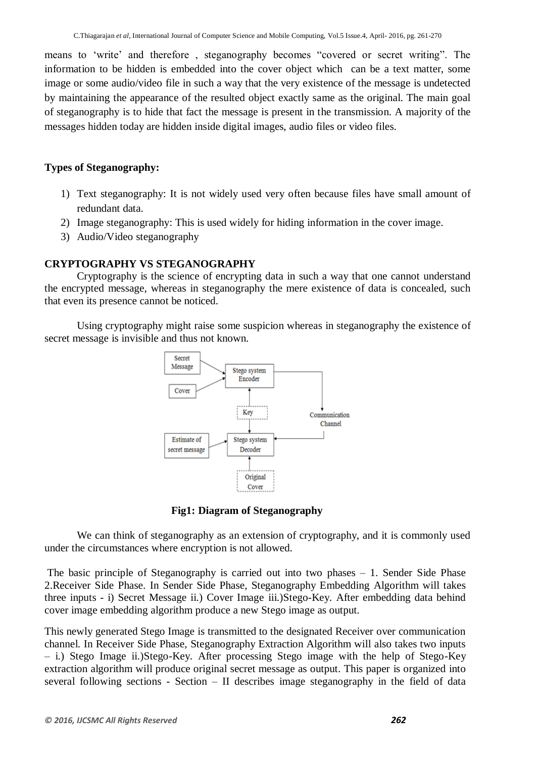means to 'write' and therefore, steganography becomes "covered or secret writing". The information to be hidden is embedded into the cover object which can be a text matter, some image or some audio/video file in such a way that the very existence of the message is undetected by maintaining the appearance of the resulted object exactly same as the original. The main goal of steganography is to hide that fact the message is present in the transmission. A majority of the messages hidden today are hidden inside digital images, audio files or video files.

## **Types of Steganography:**

- 1) Text steganography: It is not widely used very often because files have small amount of redundant data.
- 2) Image steganography: This is used widely for hiding information in the cover image.
- 3) Audio/Video steganography

# **CRYPTOGRAPHY VS STEGANOGRAPHY**

Cryptography is the science of encrypting data in such a way that one cannot understand the encrypted message, whereas in steganography the mere existence of data is concealed, such that even its presence cannot be noticed.

Using cryptography might raise some suspicion whereas in steganography the existence of secret message is invisible and thus not known.



**Fig1: Diagram of Steganography**

We can think of steganography as an extension of cryptography, and it is commonly used under the circumstances where encryption is not allowed.

The basic principle of Steganography is carried out into two phases – 1. Sender Side Phase 2.Receiver Side Phase. In Sender Side Phase, Steganography Embedding Algorithm will takes three inputs - i) Secret Message ii.) Cover Image iii.)Stego-Key. After embedding data behind cover image embedding algorithm produce a new Stego image as output.

This newly generated Stego Image is transmitted to the designated Receiver over communication channel. In Receiver Side Phase, Steganography Extraction Algorithm will also takes two inputs – i.) Stego Image ii.)Stego-Key. After processing Stego image with the help of Stego-Key extraction algorithm will produce original secret message as output. This paper is organized into several following sections - Section – II describes image steganography in the field of data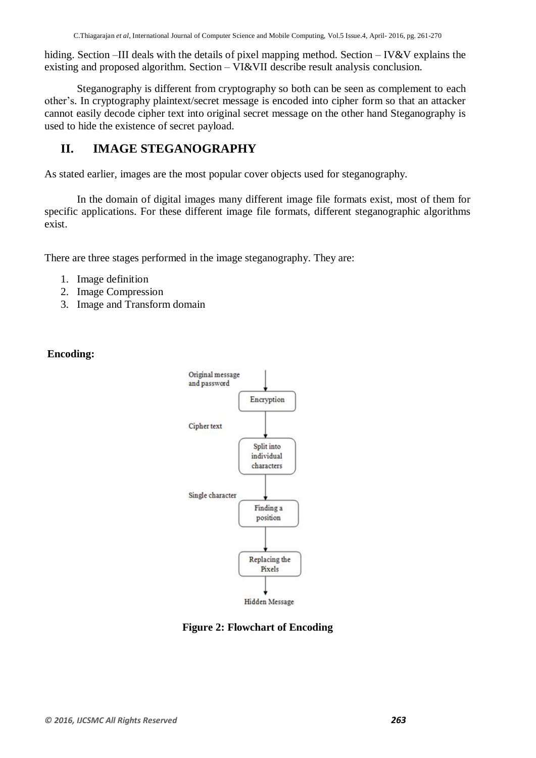hiding. Section –III deals with the details of pixel mapping method. Section – IV&V explains the existing and proposed algorithm. Section – VI&VII describe result analysis conclusion.

Steganography is different from cryptography so both can be seen as complement to each other"s. In cryptography plaintext/secret message is encoded into cipher form so that an attacker cannot easily decode cipher text into original secret message on the other hand Steganography is used to hide the existence of secret payload.

# **II. IMAGE STEGANOGRAPHY**

As stated earlier, images are the most popular cover objects used for steganography.

In the domain of digital images many different image file formats exist, most of them for specific applications. For these different image file formats, different steganographic algorithms exist.

There are three stages performed in the image steganography. They are:

- 1. Image definition
- 2. Image Compression
- 3. Image and Transform domain

# **Encoding:**



**Hidden Message** 

**Figure 2: Flowchart of Encoding**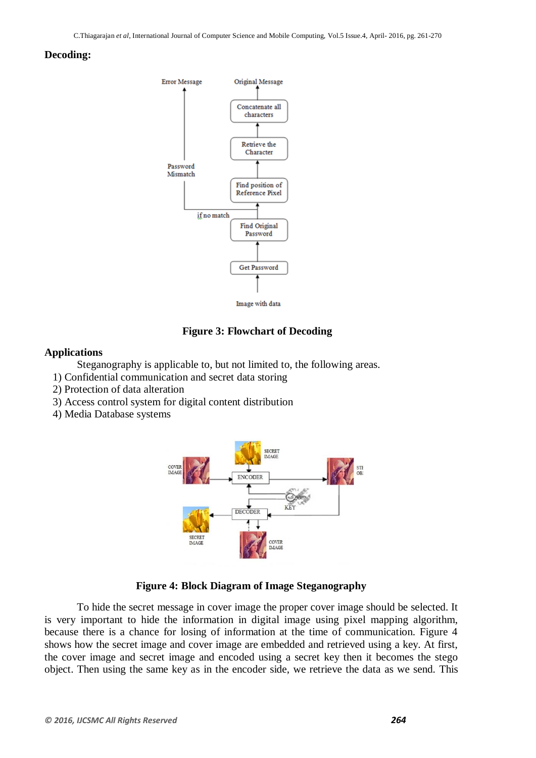#### **Decoding:**



#### **Figure 3: Flowchart of Decoding**

#### **Applications**

Steganography is applicable to, but not limited to, the following areas.

- 1) Confidential communication and secret data storing
- 2) Protection of data alteration
- 3) Access control system for digital content distribution
- 4) Media Database systems



#### **Figure 4: Block Diagram of Image Steganography**

To hide the secret message in cover image the proper cover image should be selected. It is very important to hide the information in digital image using pixel mapping algorithm, because there is a chance for losing of information at the time of communication. Figure 4 shows how the secret image and cover image are embedded and retrieved using a key. At first, the cover image and secret image and encoded using a secret key then it becomes the stego object. Then using the same key as in the encoder side, we retrieve the data as we send. This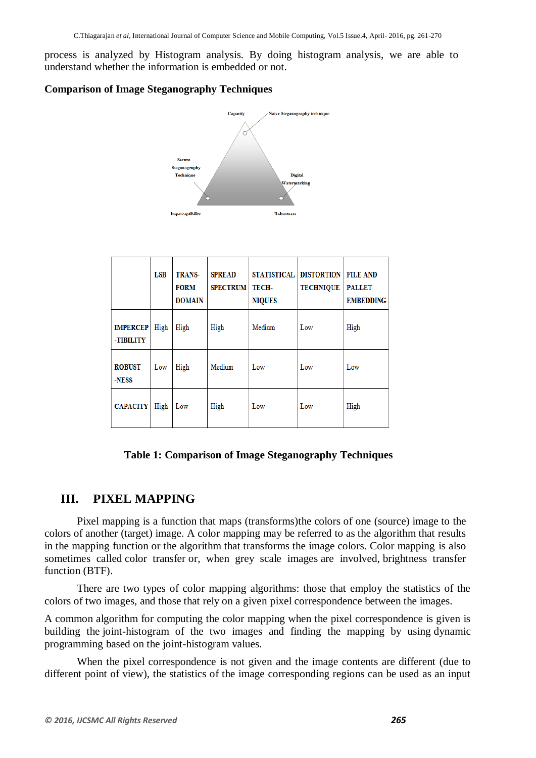process is analyzed by Histogram analysis. By doing histogram analysis, we are able to understand whether the information is embedded or not.

## **Comparison of Image Steganography Techniques**



|                              | <b>LSB</b> | <b>TRANS-</b><br><b>FORM</b><br><b>DOMAIN</b> | <b>SPREAD</b><br><b>SPECTRUM</b> | <b>STATISTICAL</b><br>TECH-<br><b>NIQUES</b> | <b>DISTORTION</b><br><b>TECHNIQUE</b> | <b>FILE AND</b><br><b>PALLET</b><br><b>EMBEDDING</b> |
|------------------------------|------------|-----------------------------------------------|----------------------------------|----------------------------------------------|---------------------------------------|------------------------------------------------------|
| <b>IMPERCEP</b><br>-TIBILITY | High       | High                                          | High                             | Medium                                       | Low                                   | High                                                 |
| <b>ROBUST</b><br>-NESS       | Low        | High                                          | Medium                           | Low                                          | Low                                   | Low                                                  |
| <b>CAPACITY</b>              | High       | Low                                           | High                             | Low                                          | Low                                   | High                                                 |

## **Table 1: Comparison of Image Steganography Techniques**

# **III. PIXEL MAPPING**

Pixel mapping is a [function](https://en.wikipedia.org/wiki/Function_(mathematics)) that maps (transforms)the [colors](https://en.wikipedia.org/wiki/Color) of one (source) [image](https://en.wikipedia.org/wiki/Digital_image) to the colors of another (target) image. A color mapping may be referred to as the [algorithm](https://en.wikipedia.org/wiki/Algorithm) that results in the mapping function or the algorithm that transforms the image colors. Color mapping is also sometimes called color transfer or, when grey scale [images](https://en.wikipedia.org/wiki/Grayscale) are involved, brightness transfer function (BTF).

There are two types of color mapping algorithms: those that employ the statistics of the colors of two images, and those that rely on a given [pixel](https://en.wikipedia.org/wiki/Pixel) correspondence between the images.

A common algorithm for computing the color mapping when the pixel correspondence is given is building the [joint-histogram](https://en.wikipedia.org/wiki/Frequency_distribution#Joint_frequency_distributions) of the two images and finding the mapping by using [dynamic](https://en.wikipedia.org/wiki/Dynamic_programming)  [programming](https://en.wikipedia.org/wiki/Dynamic_programming) based on the joint-histogram values.

When the pixel correspondence is not given and the image contents are different (due to different point of view), the statistics of the image corresponding regions can be used as an input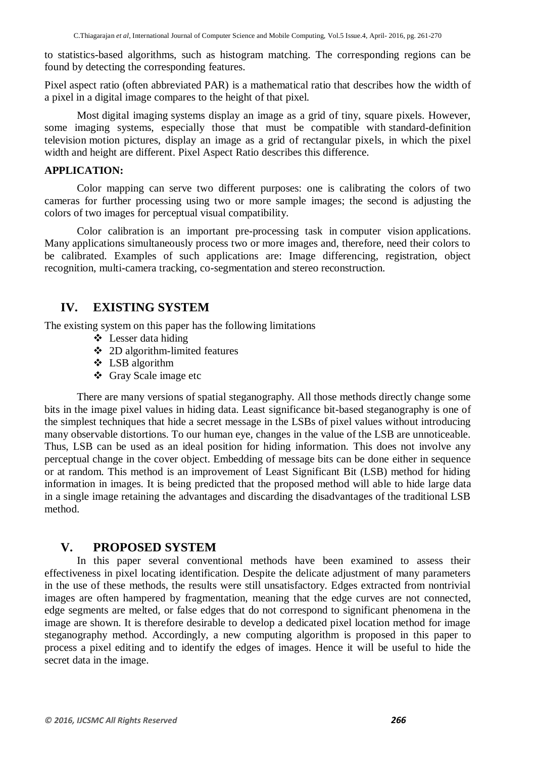to statistics-based algorithms, such as histogram matching. The corresponding regions can be found by detecting the corresponding [features.](https://en.wikipedia.org/wiki/Feature_detection_(computer_vision))

Pixel aspect ratio (often abbreviated PAR) is a mathematical [ratio](https://en.wikipedia.org/wiki/Ratio) that describes how the width of a [pixel](https://en.wikipedia.org/wiki/Pixel) in a [digital image](https://en.wikipedia.org/wiki/Digital_image) compares to the height of that pixel.

Most [digital imaging](https://en.wikipedia.org/wiki/Digital_imaging) systems display an image as a grid of tiny, square pixels. However, some imaging systems, especially those that must be compatible with [standard-definition](https://en.wikipedia.org/wiki/Standard-definition_television)  [television](https://en.wikipedia.org/wiki/Standard-definition_television) motion pictures, display an image as a grid of rectangular pixels, in which the pixel width and height are different. Pixel Aspect Ratio describes this difference.

### **APPLICATION:**

Color mapping can serve two different purposes: one is calibrating the colors of two cameras for further processing using two or more sample images; the second is adjusting the colors of two images for perceptual visual compatibility.

[Color calibration](https://en.wikipedia.org/wiki/Color_calibration) is an important pre-processing task in [computer vision](https://en.wikipedia.org/wiki/Computer_vision) applications. Many applications simultaneously process two or more images and, therefore, need their colors to be calibrated. Examples of such applications are: Image differencing, registration, object recognition, multi-camera tracking, co-segmentation and stereo reconstruction.

# **IV. EXISTING SYSTEM**

The existing system on this paper has the following limitations

- Lesser data hiding
- 2D algorithm-limited features
- LSB algorithm
- Gray Scale image etc

There are many versions of spatial steganography. All those methods directly change some bits in the image pixel values in hiding data. Least significance bit-based steganography is one of the simplest techniques that hide a secret message in the LSBs of pixel values without introducing many observable distortions. To our human eye, changes in the value of the LSB are unnoticeable. Thus, LSB can be used as an ideal position for hiding information. This does not involve any perceptual change in the cover object. Embedding of message bits can be done either in sequence or at random. This method is an improvement of Least Significant Bit (LSB) method for hiding information in images. It is being predicted that the proposed method will able to hide large data in a single image retaining the advantages and discarding the disadvantages of the traditional LSB method.

# **V. PROPOSED SYSTEM**

In this paper several conventional methods have been examined to assess their effectiveness in pixel locating identification. Despite the delicate adjustment of many parameters in the use of these methods, the results were still unsatisfactory. Edges extracted from nontrivial images are often hampered by fragmentation, meaning that the edge curves are not connected, edge segments are melted, or false edges that do not correspond to significant phenomena in the image are shown. It is therefore desirable to develop a dedicated pixel location method for image steganography method. Accordingly, a new computing algorithm is proposed in this paper to process a pixel editing and to identify the edges of images. Hence it will be useful to hide the secret data in the image.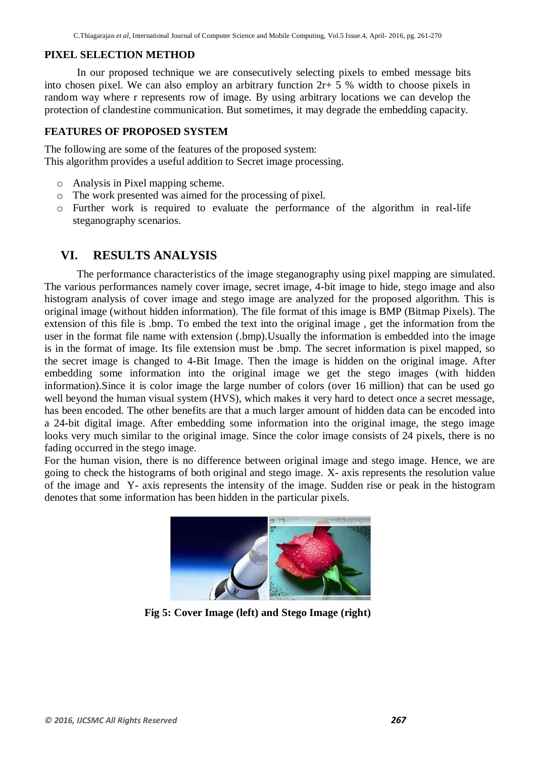#### **PIXEL SELECTION METHOD**

In our proposed technique we are consecutively selecting pixels to embed message bits into chosen pixel. We can also employ an arbitrary function 2r+ 5 % width to choose pixels in random way where r represents row of image. By using arbitrary locations we can develop the protection of clandestine communication. But sometimes, it may degrade the embedding capacity.

#### **FEATURES OF PROPOSED SYSTEM**

The following are some of the features of the proposed system: This algorithm provides a useful addition to Secret image processing.

- o Analysis in Pixel mapping scheme.
- o The work presented was aimed for the processing of pixel.
- o Further work is required to evaluate the performance of the algorithm in real-life steganography scenarios.

## **VI. RESULTS ANALYSIS**

The performance characteristics of the image steganography using pixel mapping are simulated. The various performances namely cover image, secret image, 4-bit image to hide, stego image and also histogram analysis of cover image and stego image are analyzed for the proposed algorithm. This is original image (without hidden information). The file format of this image is BMP (Bitmap Pixels). The extension of this file is .bmp. To embed the text into the original image , get the information from the user in the format file name with extension (.bmp).Usually the information is embedded into the image is in the format of image. Its file extension must be .bmp. The secret information is pixel mapped, so the secret image is changed to 4-Bit Image. Then the image is hidden on the original image. After embedding some information into the original image we get the stego images (with hidden information).Since it is color image the large number of colors (over 16 million) that can be used go well beyond the human visual system (HVS), which makes it very hard to detect once a secret message. has been encoded. The other benefits are that a much larger amount of hidden data can be encoded into a 24-bit digital image. After embedding some information into the original image, the stego image looks very much similar to the original image. Since the color image consists of 24 pixels, there is no fading occurred in the stego image.

For the human vision, there is no difference between original image and stego image. Hence, we are going to check the histograms of both original and stego image. X- axis represents the resolution value of the image and Y- axis represents the intensity of the image. Sudden rise or peak in the histogram denotes that some information has been hidden in the particular pixels.



**Fig 5: Cover Image (left) and Stego Image (right)**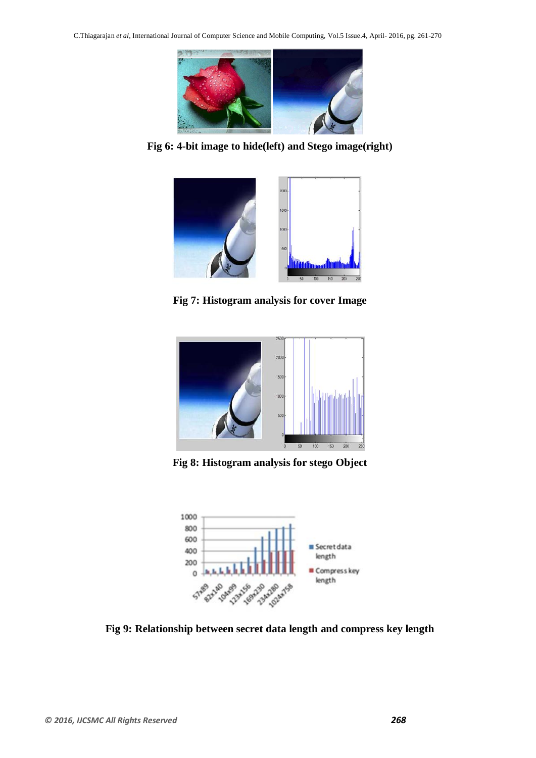

**Fig 6: 4-bit image to hide(left) and Stego image(right)**



**Fig 7: Histogram analysis for cover Image**



**Fig 8: Histogram analysis for stego Object**



**Fig 9: Relationship between secret data length and compress key length**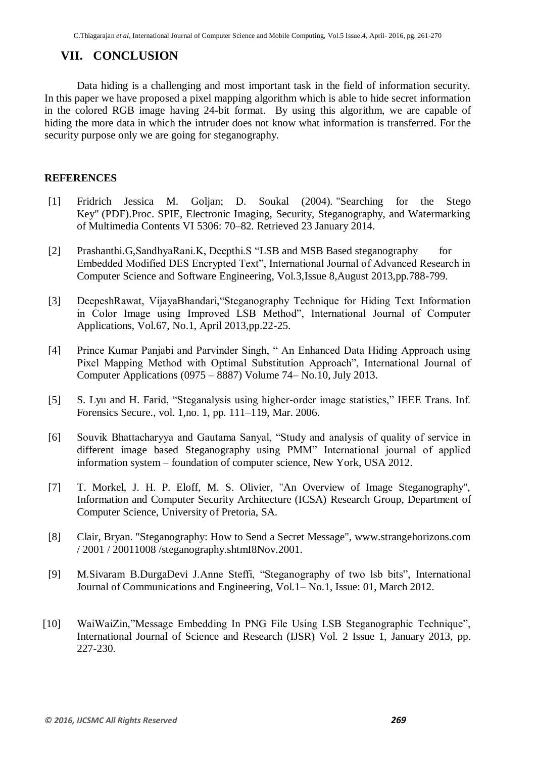# **VII. CONCLUSION**

Data hiding is a challenging and most important task in the field of information security. In this paper we have proposed a pixel mapping algorithm which is able to hide secret information in the colored RGB image having 24-bit format. By using this algorithm, we are capable of hiding the more data in which the intruder does not know what information is transferred. For the security purpose only we are going for steganography.

### **REFERENCES**

- [1] Fridrich Jessica M. Goljan; D. Soukal (2004). ["Searching for the Stego](http://www.ws.binghamton.edu/fridrich/Research/Keysearch_SPIE.pdf)  [Key"](http://www.ws.binghamton.edu/fridrich/Research/Keysearch_SPIE.pdf) (PDF).Proc. SPIE, Electronic Imaging, Security, Steganography, and Watermarking of Multimedia Contents VI 5306: 70–82. Retrieved 23 January 2014.
- [2] Prashanthi.G,SandhyaRani.K, Deepthi.S "LSB and MSB Based steganography for Embedded Modified DES Encrypted Text", International Journal of Advanced Research in Computer Science and Software Engineering, Vol.3,Issue 8,August 2013,pp.788-799.
- [3] DeepeshRawat, VijayaBhandari,"Steganography Technique for Hiding Text Information in Color Image using Improved LSB Method", International Journal of Computer Applications, Vol.67, No.1, April 2013,pp.22-25.
- [4] Prince Kumar Panjabi and Parvinder Singh, " An Enhanced Data Hiding Approach using Pixel Mapping Method with Optimal Substitution Approach", International Journal of Computer Applications (0975 – 8887) Volume 74– No.10, July 2013.
- [5] S. Lyu and H. Farid, "Steganalysis using higher-order image statistics," IEEE Trans. Inf. Forensics Secure., vol. 1,no. 1, pp. 111–119, Mar. 2006.
- [6] Souvik Bhattacharyya and Gautama Sanyal, "Study and analysis of quality of service in different image based Steganography using PMM" International journal of applied information system – foundation of computer science, New York, USA 2012.
- [7] T. Morkel, J. H. P. Eloff, M. S. Olivier, "An Overview of Image Steganography", Information and Computer Security Architecture (ICSA) Research Group, Department of Computer Science, University of Pretoria, SA.
- [8] Clair, Bryan. "Steganography: How to Send a Secret Message", www.strangehorizons.com / 2001 / 20011008 /steganography.shtmI8Nov.2001.
- [9] M.Sivaram B.DurgaDevi J.Anne Steffi, "Steganography of two lsb bits", International Journal of Communications and Engineering, Vol.1– No.1, Issue: 01, March 2012.
- [10] WaiWaiZin,"Message Embedding In PNG File Using LSB Steganographic Technique", International Journal of Science and Research (IJSR) Vol. 2 Issue 1, January 2013, pp. 227-230.